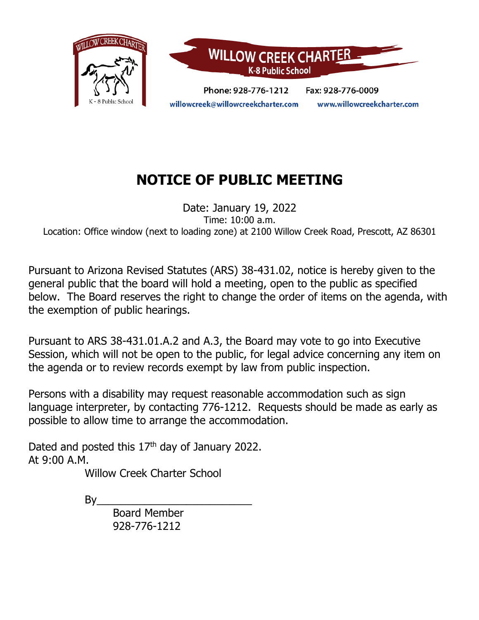

# **NOTICE OF PUBLIC MEETING**

Date: January 19, 2022 Time: 10:00 a.m. Location: Office window (next to loading zone) at 2100 Willow Creek Road, Prescott, AZ 86301

Pursuant to Arizona Revised Statutes (ARS) 38-431.02, notice is hereby given to the general public that the board will hold a meeting, open to the public as specified below. The Board reserves the right to change the order of items on the agenda, with the exemption of public hearings.

Pursuant to ARS 38-431.01.A.2 and A.3, the Board may vote to go into Executive Session, which will not be open to the public, for legal advice concerning any item on the agenda or to review records exempt by law from public inspection.

Persons with a disability may request reasonable accommodation such as sign language interpreter, by contacting 776-1212. Requests should be made as early as possible to allow time to arrange the accommodation.

Dated and posted this 17<sup>th</sup> day of January 2022. At 9:00 A.M.

Willow Creek Charter School

 $By$ 

Board Member 928-776-1212